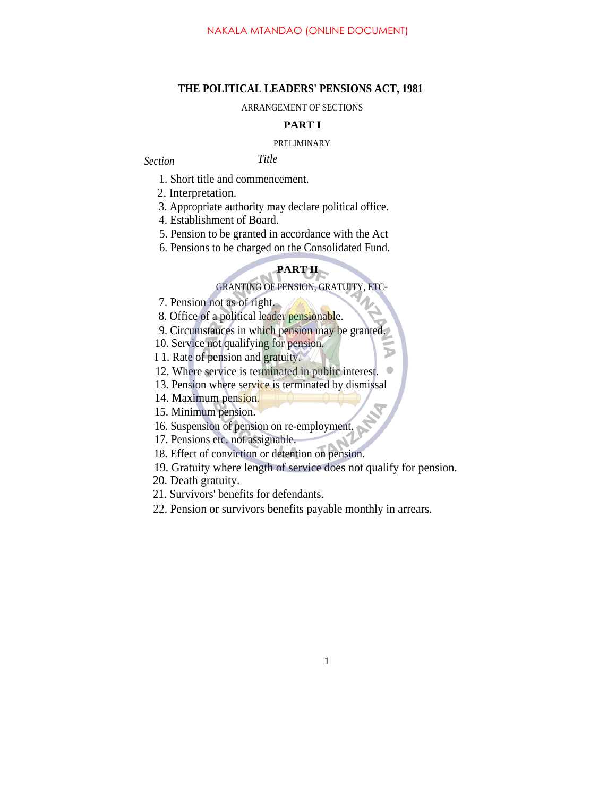## **THE POLITICAL LEADERS' PENSIONS ACT, 1981**

ARRANGEMENT OF SECTIONS

### **PART I**

### PRELIMINARY

*Section Title*

- 1. Short title and commencement.
- 2. Interpretation.
- 3. Appropriate authority may declare political office.
- 4. Establishment of Board.
- 5. Pension to be granted in accordance with the Act
- 6. Pensions to be charged on the Consolidated Fund.

## **PART II**

# GRANTING OF PENSION, GRATUITY, ETC-

 $\mathbf{E}$ 

7. Pension not as of right.

8. Office of a political leader pensionable.

9. Circumstances in which pension may be granted.

- 10. Service not qualifying for pension.
- I 1. Rate of pension and gratuity.

12. Where service is terminated in public interest.  $\bullet$ 

- 13. Pension where service is terminated by dismissal
- 14. Maximum pension.
- 15. Minimum pension.
- 16. Suspension of pension on re-employment.

17. Pensions etc. not assignable.

18. Effect of conviction or detention on pension.

19. Gratuity where length of service does not qualify for pension.

- 20. Death gratuity.
- 21. Survivors' benefits for defendants.
- 22. Pension or survivors benefits payable monthly in arrears.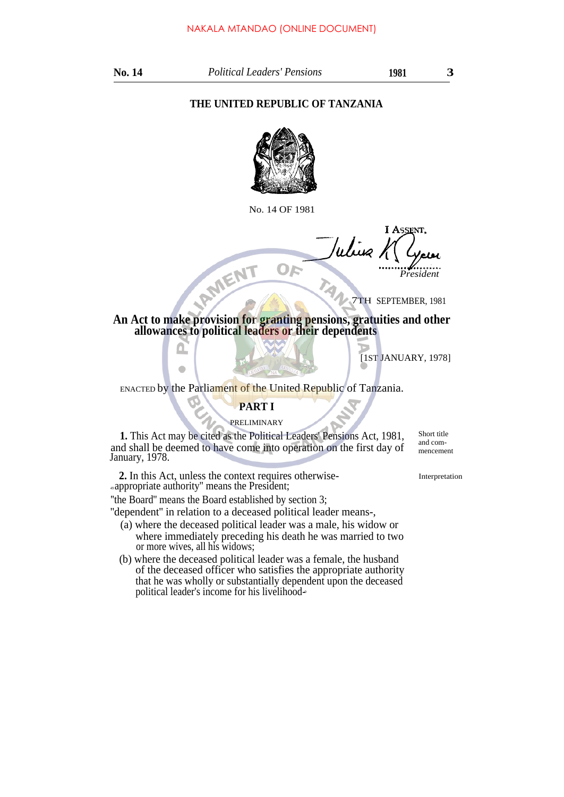# **THE UNITED REPUBLIC OF TANZANIA**



No. 14 OF 1981

**I ASSENT** Or *President*

7TH SEPTEMBER, 1981

**An Act to make provision for granting pensions, gratuities and other allowances to political leaders or their dependents**

[1ST JANUARY, 1978]

ENACTED by the Parliament of the United Republic of Tanzania.

## **PART I**

## PRELIMINARY

**1.** This Act may be cited as the Political Leaders' Pensions Act, 1981, and shall be deemed to have come into operation on the first day of January, 1978.

Short title and commencement

**2.** In this Act, unless the context requires otherwise-<sup>49</sup>appropriate authority'' means the President;

RMENT

 $\bullet$ 

''the Board'' means the Board established by section 3; "dependent" in relation to a deceased political leader means-,

- (a) where the deceased political leader was a male, his widow or where immediately preceding his death he was married to two or more wives, all his widows;
- (b) where the deceased political leader was a female, the husband of the deceased officer who satisfies the appropriate authority that he was wholly or substantially dependent upon the deceased political leader's income for his livelihood-<sup>0</sup>

Interpretation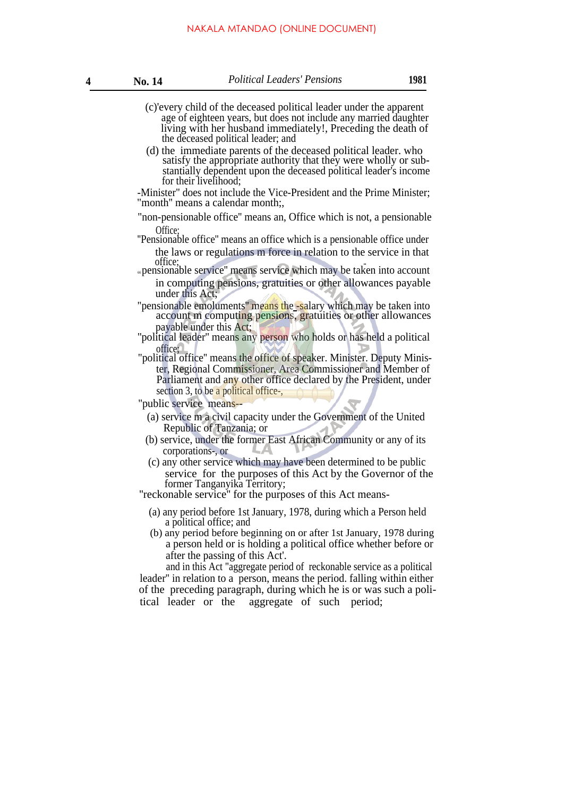- (c)'every child of the deceased political leader under the apparent age of eighteen years, but does not include any married daughter living with her husband immediately!, Preceding the death of the deceased political leader; and
- (d) the immediate parents of the deceased political leader. who satisfy the appropriate authority that they were wholly or substantially dependent upon the deceased political leader's income for their livelihood;

-Minister" does not include the Vice-President and the Prime Minister; "month" means a calendar month;

- "non-pensionable office'' means an, Office which is not, a pensionable Office;
- ''Pensionable office'' means an office which is a pensionable office under the laws or regulations m force in relation to the service in that office: office; ...
- pensionable service'' means service which may be taken into account in computing pensions, gratuities or other allowances payable under this Act;
- "pensionable emoluments" means the -salary which may be taken into account m computing pensions, gratuities or other allowances payable under this Act;
- ''political leader'' means any person who holds or has held a political office;
- "political office'' means the office of speaker. Minister. Deputy Minister, Regional Commissioner, Area Commissioner and Member of Parliament and any other office declared by the President, under section 3, to be a political office-,

''public service means--

- (a) service m a civil capacity under the Government of the United Republic of Tanzania; or
- (b) service, under the former East African Community or any of its corporations-, or
- (c) any other service which may have been determined to be public service for the purposes of this Act by the Governor of the former Tanganyika Territory;
- ''reckonable service'' for the purposes of this Act means-
	- (a) any period before 1st January, 1978, during which a Person held a political office; and
	- a person held or is holding a political office whether before or after the passing of this Act'. (b) any period before beginning on or after 1st January, 1978 during

and in this Act "aggregate period of reckonable service as a political leader'' in relation to a person, means the period. falling within either of the preceding paragraph, during which he is or was such a political leader or the aggregate of such period;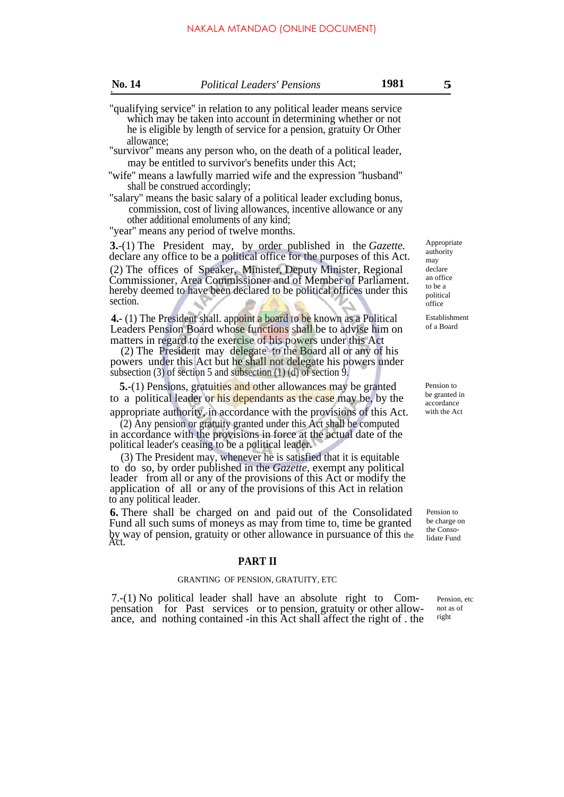- "qualifying service'' in relation to any political leader means service which may be taken into account in determining whether or not he is eligible by length of service for a pension, gratuity Or Other allowance;
- "survivor'' means any person who, on the death of a political leader, may be entitled to survivor's benefits under this Act;
- ''wife'' means a lawfully married wife and the expression ''husband'' shall be construed accordingly;
- "salary'' means the basic salary of a political leader excluding bonus, commission, cost of living allowances, incentive allowance or any other additional emoluments of any kind;

"year'' means any period of twelve months.

**3.**-(1) The President may, by order published in the *Gazette.* declare any office to be a political office for the purposes of this Act. (2) The offices of Speaker, Minister, Deputy Minister, Regional Commissioner, Area Commissioner and of Member of Parliament. hereby deemed to have been declared to be political offices under this section.

**4.**- (1) The President shall. appoint a board to be known as a Political Leaders Pension Board whose functions shall be to advise him on matters in regard to the exercise of his powers under this Act

(2) The President may delegate to the Board all or any of his powers under this Act but he shall not delegate his powers under subsection (3) of section 5 and subsection (1) (d) of section 9.

**5.**-(1) Pensions, gratuities and other allowances may be granted to a political leader or his dependants as the case may be, by the

appropriate authority, in accordance with the provisions of this Act. (2) Any pension or gratuity granted under this Act shall be computed in accordance with the provisions in force at the actual date of the

political leader's ceasing to be a political leader.

(3) The President may, whenever he is satisfied that it is equitable to do so, by order published in the *Gazette,* exempt any political leader from all or any of the provisions of this Act or modify the application of all or any of the provisions of this Act in relation to any political leader.

**6.** There shall be charged on and paid out of the Consolidated Fund all such sums of moneys as may from time to, time be granted by way of pension, gratuity or other allowance in pursuance of this the Act.

#### **PART II**

#### GRANTING OF PENSION, GRATUITY, ETC

7.-(1) No political leader shall have an absolute right to Compensation for Past services or to pension, gratuity or other allowance, and nothing contained -in this Act shall affect the right of . the

Appropriate authority may declare an office to be a political office

Establishment of a Board

Pension to be granted in accordance with the Act

Pension to be charge on the Consolidate Fund

> Pension, etc. not as of right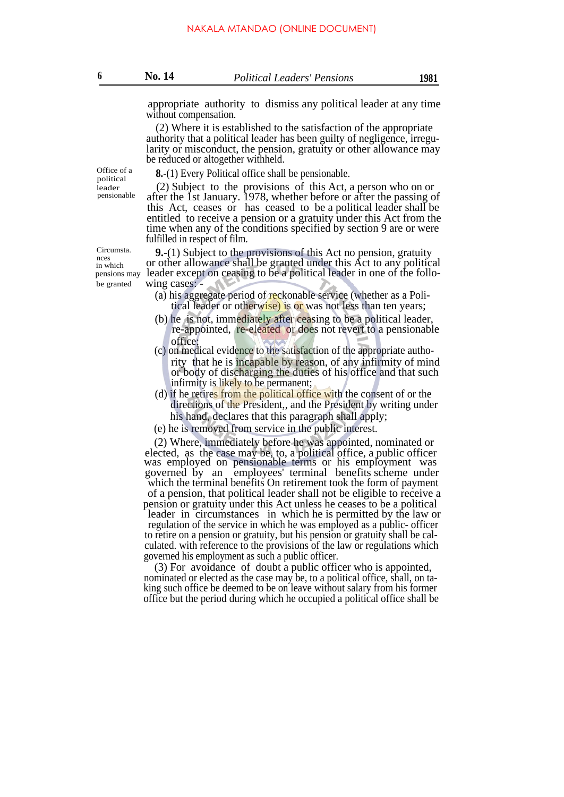appropriate authority to dismiss any political leader at any time without compensation.

(2) Where it is established to the satisfaction of the appropriate authority that a political leader has been guilty of negligence, irregularity or misconduct, the pension, gratuity or other allowance may be reduced or altogether withheld.

Office of a  $\mathbf{8}$ . (1) Every Political office shall be pensionable.

(2) Subject to the provisions of this Act, a person who on or after the 1st January. 1978, whether before or after the passing of this Act, ceases or has ceased to be a political leader shall be entitled to receive a pension or a gratuity under this Act from the time when any of the conditions specified by section 9 are or were fulfilled in respect of film.

**9.**-(1) Subject to the provisions of this Act no pension, gratuity or other allowance shall be granted under this Act to any political leader except on ceasing to be a political leader in one of the follobe granted wing cases: -

- (a) his aggregate period of reckonable service (whether as a Political leader or otherwise) is or was not less than ten years;
- (b) he is not, immediately after ceasing to be a political leader, re-appointed, re-eleated or does not revert to a pensionable office;
- (c) on medical evidence to the satisfaction of the appropriate authority that he is incapable by reason, of any infirmity of mind or body of discharging the duties of his office and that such infirmity is likely to be permanent;
- (d) if he retires from the political office with the consent of or the directions of the President,, and the President by writing under his hand, declares that this paragraph shall apply;
- (e) he is removed from service in the public interest.

(2) Where, immediately before he was appointed, nominated or elected, as the case may be, to, a political office, a public officer was employed on pensionable terms or his employment was governed by an employees' terminal benefits scheme under which the terminal benefits On retirement took the form of payment of a pension, that political leader shall not be eligible to receive a

 pension or gratuity under this Act unless he ceases to be a political leader in circumstances in which he is permitted by the law or regulation of the service in which he was employed as a public- officer to retire on a pension or gratuity, but his pension or gratuity shall be calculated. with reference to the provisions of the law or regulations which governed his employment as such a public officer.

(3) For avoidance of doubt a public officer who is appointed, nominated or elected as the case may be, to a political office, shall, on taking such office be deemed to be on leave without salary from his former office but the period during which he occupied a political office shall be

pensionable

political

leader

Circumsta. nces in which<br>pensions may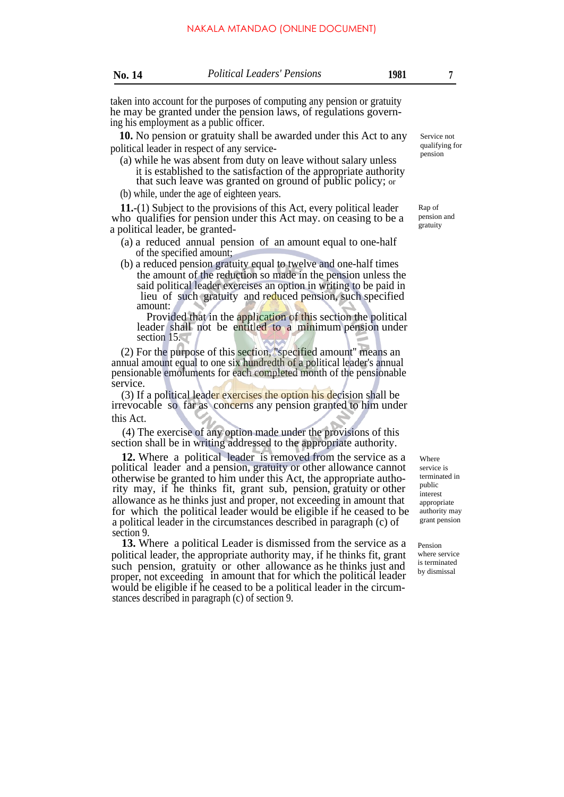taken into account for the purposes of computing any pension or gratuity he may be granted under the pension laws, of regulations governing his employment as a public officer.

**10.** No pension or gratuity shall be awarded under this Act to any political leader in respect of any service-

(a) while he was absent from duty on leave without salary unless it is established to the satisfaction of the appropriate authority that such leave was granted on ground of public policy; or

(b) while, under the age of eighteen years.

**11.**-(1) Subject to the provisions of this Act, every political leader who qualifies for pension under this Act may. on ceasing to be a a political leader, be granted-

- (a) a reduced annual pension of an amount equal to one-half of the specified amount;
- (b) a reduced pension gratuity equal to twelve and one-half times the amount of the reduction so made in the pension unless the said political leader exercises an option in writing to be paid in lieu of such gratuity and reduced pension, such specified amount:

Provided that in the application of this section the political leader shall not be entitled to a minimum pension under section 15.

(2) For the purpose of this section, ''specified amount'' means an annual amount equal to one six hundredth of a political leader's annual pensionable emoluments for each completed month of the pensionable service.

(3) If a political leader exercises the option his decision shall be irrevocable so far as concerns any pension granted to him under this Act.

(4) The exercise of any option made under the provisions of this section shall be in writing addressed to the appropriate authority.

**12.** Where a political leader is removed from the service as a political leader and a pension, gratuity or other allowance cannot otherwise be granted to him under this Act, the appropriate authority may, if he thinks fit, grant sub, pension, gratuity or other allowance as he thinks just and proper, not exceeding in amount that for which the political leader would be eligible if he ceased to be a political leader in the circumstances described in paragraph (c) of section 9.

**13.** Where a political Leader is dismissed from the service as a political leader, the appropriate authority may, if he thinks fit, grant such pension, gratuity or other allowance as he thinks just and proper, not exceeding in amount that for which the political leader would be eligible if he ceased to be a political leader in the circumstances described in paragraph (c) of section 9.

Service not qualifying for pension

Rap of pension and gratuity

Where service is terminated in public interest appropriate authority may grant pension

Pension where service is terminated by dismissal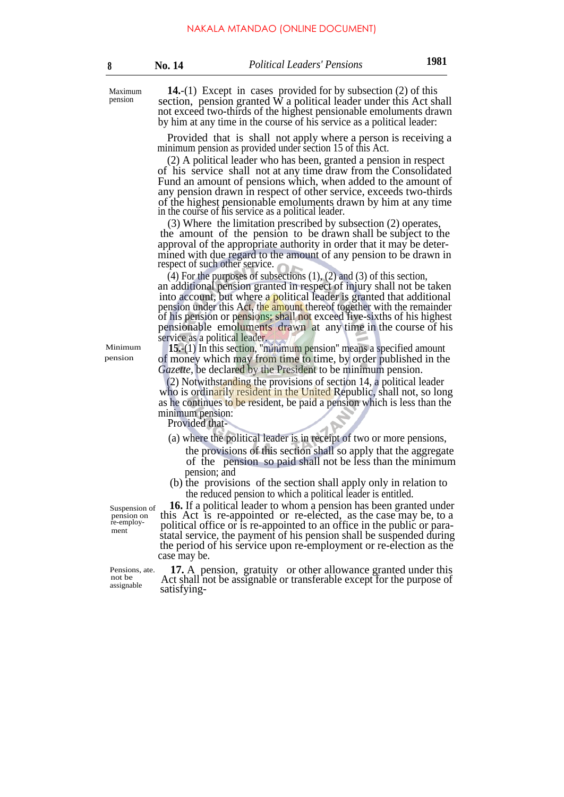Maximum pension

**14.**-(1) Except in cases provided for by subsection (2) of this section, pension granted W a political leader under this Act shall not exceed two-thirds of the highest pensionable emoluments drawn by him at any time in the course of his service as a political leader:

Provided that is shall not apply where a person is receiving a minimum pension as provided under section 15 of this Act.

(2) A political leader who has been, granted a pension in respect of his service shall not at any time draw from the Consolidated Fund an amount of pensions which, when added to the amount of any pension drawn in respect of other service, exceeds two-thirds of the highest pensionable emoluments drawn by him at any time in the course of his service as a political leader.

(3) Where the limitation prescribed by subsection (2) operates, the amount of the pension to be drawn shall be subject to the approval of the appropriate authority in order that it may be determined with due regard to the amount of any pension to be drawn in respect of such other service.

(4) For the purposes of subsections  $(1)$ ,  $(2)$  and  $(3)$  of this section, an additional pension granted in respect of injury shall not be taken into account, but where a political leader is granted that additional pension under this Act, the amount thereof together with the remainder of his pension or pensions; shall not exceed five-sixths of his highest pensionable emoluments drawn at any time in the course of his service as a political leader.

**15.**-(1) In this section, ''minimum pension'' means a specified amount of money which may from time to time, by order published in the *Gazette,* be declared by the President to be minimum pension.

(2) Notwithstanding the provisions of section 14, a political leader who is ordinarily resident in the United Republic, shall not, so long as he continues to be resident, be paid a pension which is less than the minimum pension:

Provided that-

- (a) where the political leader is in receipt of two or more pensions, the provisions of this section shall so apply that the aggregate of the pension so paid shall not be less than the minimum pension; and
- (b) the provisions of the section shall apply only in relation to the reduced pension to which a political leader is entitled.

**16.** If a political leader to whom a pension has been granted under this Act is re-appointed or re-elected, as the case may be, to a political office or is re-appointed to an office in the public or parastatal service, the payment of his pension shall be suspended during the period of his service upon re-employment or re-election as the case may be.

Pensions, ate. not be assignable

Suspension of pension on re-employment

> **17.** A pension, gratuity or other allowance granted under this Act shall not be assignable or transferable except for the purpose of satisfying-

Minimum pension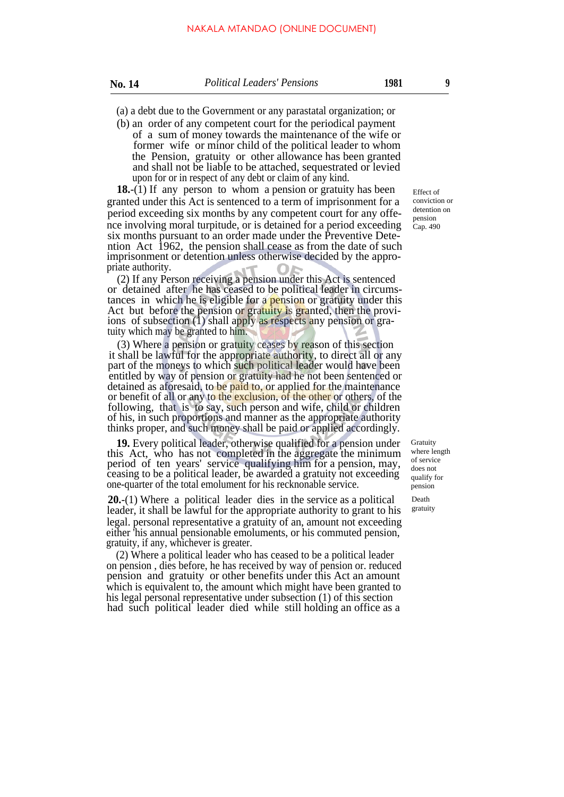(a) a debt due to the Government or any parastatal organization; or

(b) an order of any competent court for the periodical payment of a sum of money towards the maintenance of the wife or former wife or minor child of the political leader to whom the Pension, gratuity or other allowance has been granted and shall not be liable to be attached, sequestrated or levied upon for or in respect of any debt or claim of any kind.

**18.**-(1) If any person to whom a pension or gratuity has been granted under this Act is sentenced to a term of imprisonment for a period exceeding six months by any competent court for any offence involving moral turpitude, or is detained for a period exceeding six months pursuant to an order made under the Preventive Detention Act 1962, the pension shall cease as from the date of such imprisonment or detention unless otherwise decided by the appropriate authority.

(2) If any Person receiving a pension under this Act is sentenced or detained after he has ceased to be political leader in circumstances in which he is eligible for a **pension** or gratuity under this Act but before the pension or gratuity is granted, then the proviions of subsection (1) shall apply as respects any pension or gratuity which may be granted to him.

(3) Where a pension or gratuity ceases by reason of this section it shall be lawful for the appropriate authority, to direct all or any part of the moneys to which such political leader would have been entitled by way of pension or gratuity had he not been sentenced or detained as aforesaid, to be paid to, or applied for the maintenance or benefit of all or any to the exclusion, of the other or others, of the following, that is to say, such person and wife, child or children of his, in such proportions and manner as the appropriate authority thinks proper, and such money shall be paid or applied accordingly.

**19.** Every political leader, otherwise qualified for a pension under this Act, who has not completed in the aggregate the minimum period of ten years' service qualifying him for a pension, may, ceasing to be a political leader, be awarded a gratuity not exceeding one-quarter of the total emolument for his recknonable service.

**20.**-(1) Where a political leader dies in the service as a political leader, it shall be lawful for the appropriate authority to grant to his legal. personal representative a gratuity of an, amount not exceeding either 'his annual pensionable emoluments, or his commuted pension, gratuity, if any, whichever is greater.

(2) Where a political leader who has ceased to be a political leader on pension , dies before, he has received by way of pension or. reduced pension and gratuity or other benefits under this Act an amount which is equivalent to, the amount which might have been granted to his legal personal representative under subsection (1) of this section had such political leader died while still holding an office as a

Effect of conviction or detention on pension Cap. 490

Gratuity where length of service does not qualify for pension

Death gratuity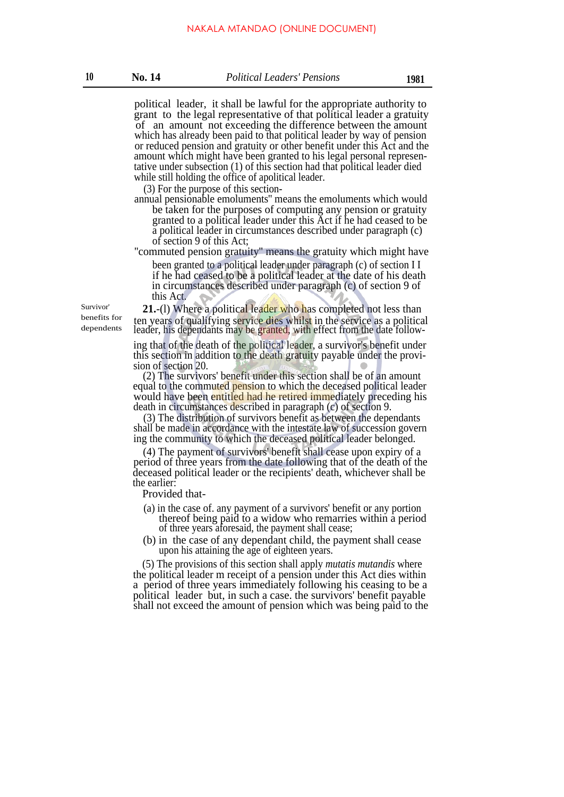political leader, it shall be lawful for the appropriate authority to grant to the legal representative of that political leader a gratuity of an amount not exceeding the difference between the amount which has already been paid to that political leader by way of pension or reduced pension and gratuity or other benefit under this Act and the amount which might have been granted to his legal personal representative under subsection (1) of this section had that political leader died while still holding the office of apolitical leader.

(3) For the purpose of this section-

annual pensionable emoluments'' means the emoluments which would be taken for the purposes of computing any pension or gratuity granted to a political leader under this Act if he had ceased to be a political leader in circumstances described under paragraph (c) of section 9 of this Act;

''commuted pension gratuity'' means the gratuity which might have

been granted to a political leader under paragraph (c) of section I I if he had ceased to be a political leader at the date of his death in circumstances described under paragraph (c) of section 9 of this Act.

Survivor' benefits for dependents

**21.**-(l) Where a political leader who has completed not less than ten years of qualifying service dies whilst in the service as a political leader, his dependants may be granted, with effect from the date follow-

ing that of the death of the political leader, a survivor's benefit under this section in addition to the death gratuity payable under the provision of section 20.

(2) The survivors' benefit under this section shall be of an amount equal to the commuted pension to which the deceased political leader would have been entitled had he retired immediately preceding his death in circumstances described in paragraph (c) of section 9.

(3) The distribution of survivors benefit as between the dependants shall be made in accordance with the intestate law of succession govern ing the community to which the deceased political leader belonged.

(4) The payment of survivors' benefit shall cease upon expiry of a period of three years from the date following that of the death of the deceased political leader or the recipients' death, whichever shall be the earlier:

Provided that-

- (a) in the case of. any payment of a survivors' benefit or any portion thereof being paid to a widow who remarries within a period of three years aforesaid, the payment shall cease;
- (b) in the case of any dependant child, the payment shall cease upon his attaining the age of eighteen years.

(5) The provisions of this section shall apply *mutatis mutandis* where the political leader m receipt of a pension under this Act dies within a period of three years immediately following his ceasing to be a political leader but, in such a case. the survivors' benefit payable shall not exceed the amount of pension which was being paid to the